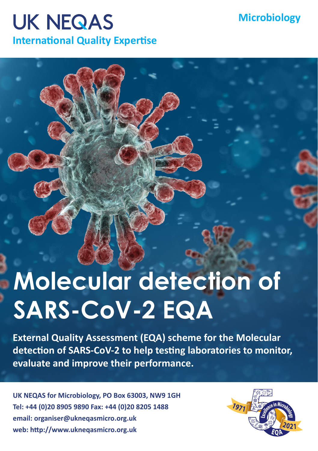## **UK NEQAS International Quality Expertise**

## **Microbiology**

## **Molecular detection of SARS-CoV-2 EQA**

**External Quality Assessment (EQA) scheme for the Molecular detection of SARS-CoV-2 to help testing laboratories to monitor, evaluate and improve their performance.**

**UK NEQAS for Microbiology, PO Box 63003, NW9 1GH Tel: +44 (0)20 8905 9890 Fax: +44 (0)20 8205 1488 email: organiser@ukneqasmicro.org.uk web: http://www.ukneqasmicro.org.uk**